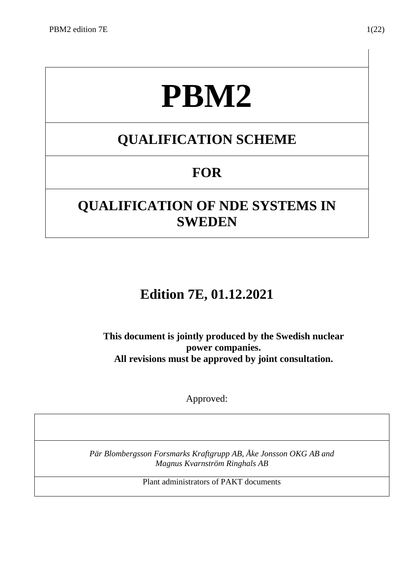# **PBM2**

# **QUALIFICATION SCHEME**

# **FOR**

# **QUALIFICATION OF NDE SYSTEMS IN SWEDEN**

# **Edition 7E, 01.12.2021**

**This document is jointly produced by the Swedish nuclear power companies. All revisions must be approved by joint consultation.**

Approved:

*Pär Blombergsson Forsmarks Kraftgrupp AB, Åke Jonsson OKG AB and Magnus Kvarnström Ringhals AB*

Plant administrators of PAKT documents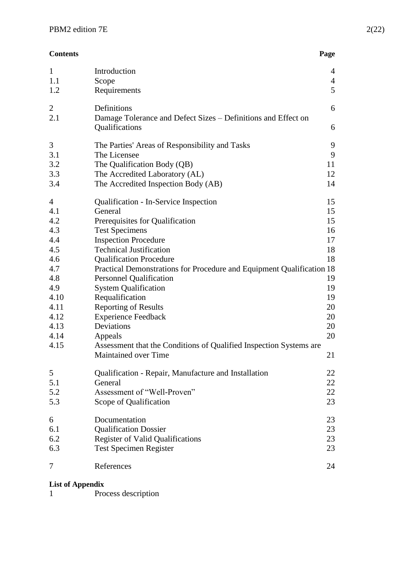| <b>Contents</b> | Page |
|-----------------|------|
|                 |      |

| $\mathbf{1}$                                                                                                                  | Introduction                                                                                                                                                                                                                                                                                                                                                                                                                                                                                                                                                            | 4                                                                                      |
|-------------------------------------------------------------------------------------------------------------------------------|-------------------------------------------------------------------------------------------------------------------------------------------------------------------------------------------------------------------------------------------------------------------------------------------------------------------------------------------------------------------------------------------------------------------------------------------------------------------------------------------------------------------------------------------------------------------------|----------------------------------------------------------------------------------------|
| 1.1                                                                                                                           | Scope                                                                                                                                                                                                                                                                                                                                                                                                                                                                                                                                                                   | $\overline{4}$                                                                         |
| 1.2                                                                                                                           | Requirements                                                                                                                                                                                                                                                                                                                                                                                                                                                                                                                                                            | 5                                                                                      |
| $\overline{2}$<br>2.1                                                                                                         | Definitions<br>Damage Tolerance and Defect Sizes - Definitions and Effect on<br>Qualifications                                                                                                                                                                                                                                                                                                                                                                                                                                                                          | 6<br>6                                                                                 |
| 3                                                                                                                             | The Parties' Areas of Responsibility and Tasks                                                                                                                                                                                                                                                                                                                                                                                                                                                                                                                          | 9                                                                                      |
| 3.1                                                                                                                           | The Licensee                                                                                                                                                                                                                                                                                                                                                                                                                                                                                                                                                            | 9                                                                                      |
| 3.2                                                                                                                           | The Qualification Body (QB)                                                                                                                                                                                                                                                                                                                                                                                                                                                                                                                                             | 11                                                                                     |
| 3.3                                                                                                                           | The Accredited Laboratory (AL)                                                                                                                                                                                                                                                                                                                                                                                                                                                                                                                                          | 12                                                                                     |
| 3.4                                                                                                                           | The Accredited Inspection Body (AB)                                                                                                                                                                                                                                                                                                                                                                                                                                                                                                                                     | 14                                                                                     |
| $\overline{4}$<br>4.1<br>4.2<br>4.3<br>4.4<br>4.5<br>4.6<br>4.7<br>4.8<br>4.9<br>4.10<br>4.11<br>4.12<br>4.13<br>4.14<br>4.15 | Qualification - In-Service Inspection<br>General<br>Prerequisites for Qualification<br><b>Test Specimens</b><br><b>Inspection Procedure</b><br><b>Technical Justification</b><br><b>Qualification Procedure</b><br>Practical Demonstrations for Procedure and Equipment Qualification 18<br><b>Personnel Qualification</b><br><b>System Qualification</b><br>Requalification<br><b>Reporting of Results</b><br><b>Experience Feedback</b><br>Deviations<br>Appeals<br>Assessment that the Conditions of Qualified Inspection Systems are<br><b>Maintained over Time</b> | 15<br>15<br>15<br>16<br>17<br>18<br>18<br>19<br>19<br>19<br>20<br>20<br>20<br>20<br>21 |
| 5                                                                                                                             | Qualification - Repair, Manufacture and Installation                                                                                                                                                                                                                                                                                                                                                                                                                                                                                                                    | 22                                                                                     |
| 5.1                                                                                                                           | General                                                                                                                                                                                                                                                                                                                                                                                                                                                                                                                                                                 | 22                                                                                     |
| 5.2                                                                                                                           | Assessment of "Well-Proven"                                                                                                                                                                                                                                                                                                                                                                                                                                                                                                                                             | 22                                                                                     |
| 5.3                                                                                                                           | Scope of Qualification                                                                                                                                                                                                                                                                                                                                                                                                                                                                                                                                                  | 23                                                                                     |
| 6                                                                                                                             | Documentation                                                                                                                                                                                                                                                                                                                                                                                                                                                                                                                                                           | 23                                                                                     |
| 6.1                                                                                                                           | <b>Qualification Dossier</b>                                                                                                                                                                                                                                                                                                                                                                                                                                                                                                                                            | 23                                                                                     |
| 6.2                                                                                                                           | <b>Register of Valid Qualifications</b>                                                                                                                                                                                                                                                                                                                                                                                                                                                                                                                                 | 23                                                                                     |
| 6.3                                                                                                                           | <b>Test Specimen Register</b>                                                                                                                                                                                                                                                                                                                                                                                                                                                                                                                                           | 23                                                                                     |
| 7                                                                                                                             | References                                                                                                                                                                                                                                                                                                                                                                                                                                                                                                                                                              | 24                                                                                     |
|                                                                                                                               |                                                                                                                                                                                                                                                                                                                                                                                                                                                                                                                                                                         |                                                                                        |

#### **List of Appendix**

1 Process description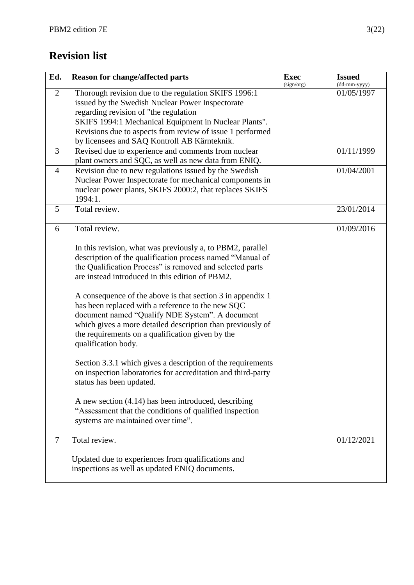# **Revision list**

| Ed.            | <b>Reason for change/affected parts</b>                      | <b>Exec</b><br>(sign/org) | <b>Issued</b><br>(dd-mm-yyyy) |
|----------------|--------------------------------------------------------------|---------------------------|-------------------------------|
| 2              | Thorough revision due to the regulation SKIFS 1996:1         |                           | 01/05/1997                    |
|                | issued by the Swedish Nuclear Power Inspectorate             |                           |                               |
|                | regarding revision of "the regulation                        |                           |                               |
|                | SKIFS 1994:1 Mechanical Equipment in Nuclear Plants".        |                           |                               |
|                | Revisions due to aspects from review of issue 1 performed    |                           |                               |
|                | by licensees and SAQ Kontroll AB Kärnteknik.                 |                           |                               |
| 3              | Revised due to experience and comments from nuclear          |                           | 01/11/1999                    |
|                | plant owners and SQC, as well as new data from ENIQ.         |                           |                               |
| $\overline{4}$ | Revision due to new regulations issued by the Swedish        |                           | 01/04/2001                    |
|                | Nuclear Power Inspectorate for mechanical components in      |                           |                               |
|                | nuclear power plants, SKIFS 2000:2, that replaces SKIFS      |                           |                               |
|                | 1994:1.                                                      |                           |                               |
| 5              | Total review.                                                |                           | 23/01/2014                    |
|                |                                                              |                           |                               |
| 6              | Total review.                                                |                           | 01/09/2016                    |
|                | In this revision, what was previously a, to PBM2, parallel   |                           |                               |
|                | description of the qualification process named "Manual of    |                           |                               |
|                | the Qualification Process" is removed and selected parts     |                           |                               |
|                | are instead introduced in this edition of PBM2.              |                           |                               |
|                |                                                              |                           |                               |
|                | A consequence of the above is that section 3 in appendix 1   |                           |                               |
|                | has been replaced with a reference to the new SQC            |                           |                               |
|                | document named "Qualify NDE System". A document              |                           |                               |
|                | which gives a more detailed description than previously of   |                           |                               |
|                | the requirements on a qualification given by the             |                           |                               |
|                | qualification body.                                          |                           |                               |
|                |                                                              |                           |                               |
|                | Section 3.3.1 which gives a description of the requirements  |                           |                               |
|                | on inspection laboratories for accreditation and third-party |                           |                               |
|                | status has been updated.                                     |                           |                               |
|                |                                                              |                           |                               |
|                | A new section (4.14) has been introduced, describing         |                           |                               |
|                | "Assessment that the conditions of qualified inspection      |                           |                               |
|                | systems are maintained over time".                           |                           |                               |
|                | Total review.                                                |                           |                               |
| $\tau$         |                                                              |                           | 01/12/2021                    |
|                | Updated due to experiences from qualifications and           |                           |                               |
|                | inspections as well as updated ENIQ documents.               |                           |                               |
|                |                                                              |                           |                               |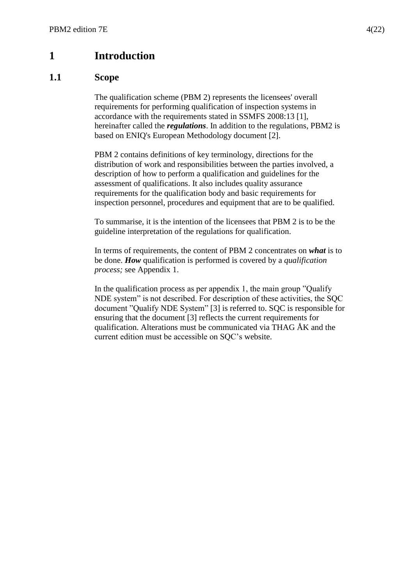# <span id="page-3-0"></span>**1 Introduction**

#### <span id="page-3-1"></span>**1.1 Scope**

The qualification scheme (PBM 2) represents the licensees' overall requirements for performing qualification of inspection systems in accordance with the requirements stated in SSMFS 2008:13 [1], hereinafter called the *regulations*. In addition to the regulations, PBM2 is based on ENIQ's European Methodology document [2].

PBM 2 contains definitions of key terminology, directions for the distribution of work and responsibilities between the parties involved, a description of how to perform a qualification and guidelines for the assessment of qualifications. It also includes quality assurance requirements for the qualification body and basic requirements for inspection personnel, procedures and equipment that are to be qualified.

To summarise, it is the intention of the licensees that PBM 2 is to be the guideline interpretation of the regulations for qualification.

In terms of requirements, the content of PBM 2 concentrates on *what* is to be done. *How* qualification is performed is covered by a *qualification process;* see Appendix 1.

In the qualification process as per appendix 1, the main group "Qualify NDE system" is not described. For description of these activities, the SQC document "Qualify NDE System" [3] is referred to. SQC is responsible for ensuring that the document [3] reflects the current requirements for qualification. Alterations must be communicated via THAG ÅK and the current edition must be accessible on SQC's website.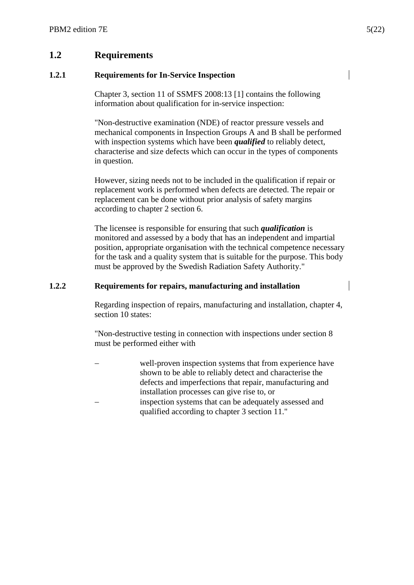## <span id="page-4-0"></span>**1.2 Requirements**

#### **1.2.1 Requirements for In-Service Inspection**

Chapter 3, section 11 of SSMFS 2008:13 [1] contains the following information about qualification for in-service inspection:

"Non-destructive examination (NDE) of reactor pressure vessels and mechanical components in Inspection Groups A and B shall be performed with inspection systems which have been *qualified* to reliably detect, characterise and size defects which can occur in the types of components in question.

However, sizing needs not to be included in the qualification if repair or replacement work is performed when defects are detected. The repair or replacement can be done without prior analysis of safety margins according to chapter 2 section 6.

The licensee is responsible for ensuring that such *qualification* is monitored and assessed by a body that has an independent and impartial position, appropriate organisation with the technical competence necessary for the task and a quality system that is suitable for the purpose. This body must be approved by the Swedish Radiation Safety Authority."

#### **1.2.2 Requirements for repairs, manufacturing and installation**

Regarding inspection of repairs, manufacturing and installation, chapter 4, section 10 states:

"Non-destructive testing in connection with inspections under section 8 must be performed either with

 well-proven inspection systems that from experience have shown to be able to reliably detect and characterise the defects and imperfections that repair, manufacturing and installation processes can give rise to, or inspection systems that can be adequately assessed and qualified according to chapter 3 section 11."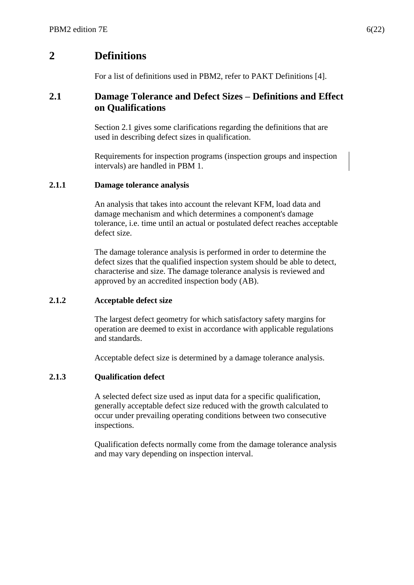# <span id="page-5-0"></span>**2 Definitions**

For a list of definitions used in PBM2, refer to PAKT Definitions [4].

#### <span id="page-5-1"></span>**2.1 Damage Tolerance and Defect Sizes – Definitions and Effect on Qualifications**

Section 2.1 gives some clarifications regarding the definitions that are used in describing defect sizes in qualification.

Requirements for inspection programs (inspection groups and inspection intervals) are handled in PBM 1.

#### **2.1.1 Damage tolerance analysis**

An analysis that takes into account the relevant KFM, load data and damage mechanism and which determines a component's damage tolerance, i.e. time until an actual or postulated defect reaches acceptable defect size.

The damage tolerance analysis is performed in order to determine the defect sizes that the qualified inspection system should be able to detect, characterise and size. The damage tolerance analysis is reviewed and approved by an accredited inspection body (AB).

#### **2.1.2 Acceptable defect size**

The largest defect geometry for which satisfactory safety margins for operation are deemed to exist in accordance with applicable regulations and standards.

Acceptable defect size is determined by a damage tolerance analysis.

#### **2.1.3 Qualification defect**

A selected defect size used as input data for a specific qualification, generally acceptable defect size reduced with the growth calculated to occur under prevailing operating conditions between two consecutive inspections.

Qualification defects normally come from the damage tolerance analysis and may vary depending on inspection interval.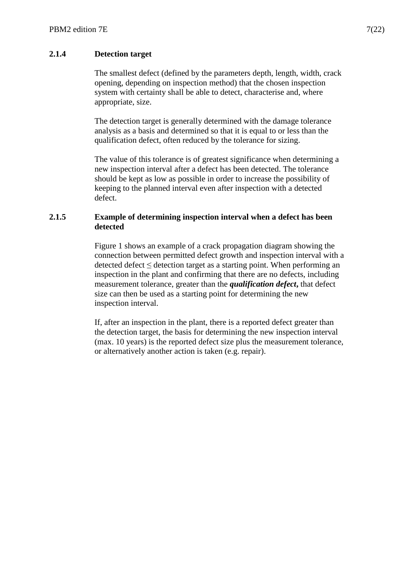#### **2.1.4 Detection target**

The smallest defect (defined by the parameters depth, length, width, crack opening, depending on inspection method) that the chosen inspection system with certainty shall be able to detect, characterise and, where appropriate, size.

The detection target is generally determined with the damage tolerance analysis as a basis and determined so that it is equal to or less than the qualification defect, often reduced by the tolerance for sizing.

The value of this tolerance is of greatest significance when determining a new inspection interval after a defect has been detected. The tolerance should be kept as low as possible in order to increase the possibility of keeping to the planned interval even after inspection with a detected defect.

#### **2.1.5 Example of determining inspection interval when a defect has been detected**

Figure 1 shows an example of a crack propagation diagram showing the connection between permitted defect growth and inspection interval with a detected defect ≤ detection target as a starting point. When performing an inspection in the plant and confirming that there are no defects, including measurement tolerance, greater than the *qualification defect***,** that defect size can then be used as a starting point for determining the new inspection interval.

If, after an inspection in the plant, there is a reported defect greater than the detection target, the basis for determining the new inspection interval (max. 10 years) is the reported defect size plus the measurement tolerance, or alternatively another action is taken (e.g. repair).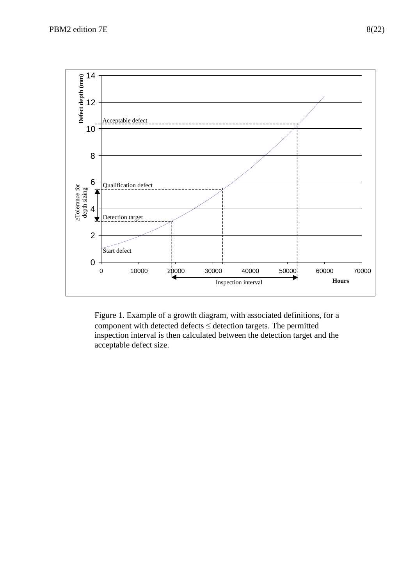

Figure 1. Example of a growth diagram, with associated definitions, for a component with detected defects  $\leq$  detection targets. The permitted inspection interval is then calculated between the detection target and the acceptable defect size.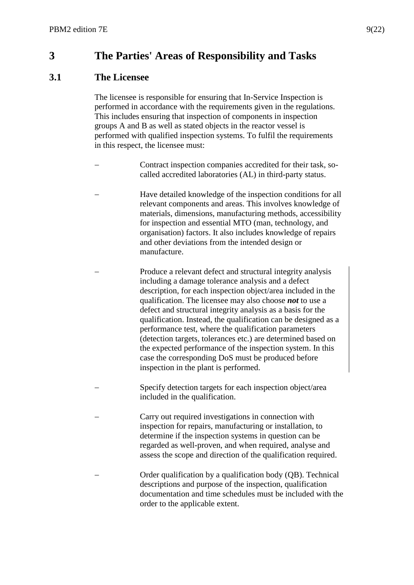# <span id="page-8-0"></span>**3 The Parties' Areas of Responsibility and Tasks**

#### <span id="page-8-1"></span>**3.1 The Licensee**

The licensee is responsible for ensuring that In-Service Inspection is performed in accordance with the requirements given in the regulations. This includes ensuring that inspection of components in inspection groups A and B as well as stated objects in the reactor vessel is performed with qualified inspection systems. To fulfil the requirements in this respect, the licensee must:

- Contract inspection companies accredited for their task, socalled accredited laboratories (AL) in third-party status.
- Have detailed knowledge of the inspection conditions for all relevant components and areas. This involves knowledge of materials, dimensions, manufacturing methods, accessibility for inspection and essential MTO (man, technology, and organisation) factors. It also includes knowledge of repairs and other deviations from the intended design or manufacture.
- Produce a relevant defect and structural integrity analysis including a damage tolerance analysis and a defect description, for each inspection object/area included in the qualification. The licensee may also choose *not* to use a defect and structural integrity analysis as a basis for the qualification. Instead, the qualification can be designed as a performance test, where the qualification parameters (detection targets, tolerances etc.) are determined based on the expected performance of the inspection system. In this case the corresponding DoS must be produced before inspection in the plant is performed.
- Specify detection targets for each inspection object/area included in the qualification.
- Carry out required investigations in connection with inspection for repairs, manufacturing or installation, to determine if the inspection systems in question can be regarded as well-proven, and when required, analyse and assess the scope and direction of the qualification required.
- Order qualification by a qualification body (QB). Technical descriptions and purpose of the inspection, qualification documentation and time schedules must be included with the order to the applicable extent.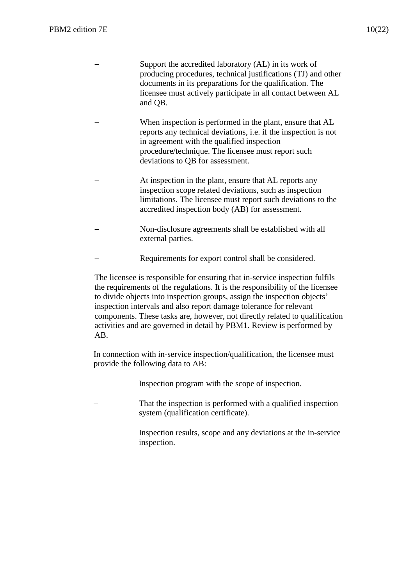- Support the accredited laboratory (AL) in its work of producing procedures, technical justifications (TJ) and other documents in its preparations for the qualification. The licensee must actively participate in all contact between AL and QB.
- When inspection is performed in the plant, ensure that AL reports any technical deviations, i.e. if the inspection is not in agreement with the qualified inspection procedure/technique. The licensee must report such deviations to QB for assessment.
- At inspection in the plant, ensure that AL reports any inspection scope related deviations, such as inspection limitations. The licensee must report such deviations to the accredited inspection body (AB) for assessment.
- Non-disclosure agreements shall be established with all external parties.
- Requirements for export control shall be considered.

The licensee is responsible for ensuring that in-service inspection fulfils the requirements of the regulations. It is the responsibility of the licensee to divide objects into inspection groups, assign the inspection objects' inspection intervals and also report damage tolerance for relevant components. These tasks are, however, not directly related to qualification activities and are governed in detail by PBM1. Review is performed by AB.

In connection with in-service inspection/qualification, the licensee must provide the following data to AB:

- Inspection program with the scope of inspection. That the inspection is performed with a qualified inspection system (qualification certificate).
- Inspection results, scope and any deviations at the in-service inspection.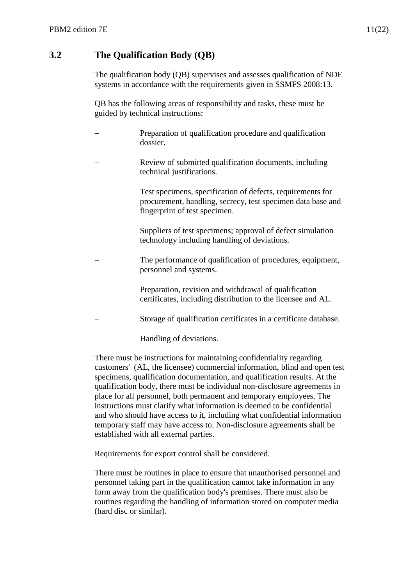## <span id="page-10-0"></span>**3.2 The Qualification Body (QB)**

The qualification body (QB) supervises and assesses qualification of NDE systems in accordance with the requirements given in SSMFS 2008:13.

QB has the following areas of responsibility and tasks, these must be guided by technical instructions:

- Preparation of qualification procedure and qualification dossier.
- Review of submitted qualification documents, including technical justifications.
- Test specimens, specification of defects, requirements for procurement, handling, secrecy, test specimen data base and fingerprint of test specimen.
- Suppliers of test specimens; approval of defect simulation technology including handling of deviations.
- The performance of qualification of procedures, equipment, personnel and systems.
- Preparation, revision and withdrawal of qualification certificates, including distribution to the licensee and AL.
- Storage of qualification certificates in a certificate database.
- Handling of deviations.

There must be instructions for maintaining confidentiality regarding customers' (AL, the licensee) commercial information, blind and open test specimens, qualification documentation, and qualification results. At the qualification body, there must be individual non-disclosure agreements in place for all personnel, both permanent and temporary employees. The instructions must clarify what information is deemed to be confidential and who should have access to it, including what confidential information temporary staff may have access to. Non-disclosure agreements shall be established with all external parties.

Requirements for export control shall be considered.

There must be routines in place to ensure that unauthorised personnel and personnel taking part in the qualification cannot take information in any form away from the qualification body's premises. There must also be routines regarding the handling of information stored on computer media (hard disc or similar).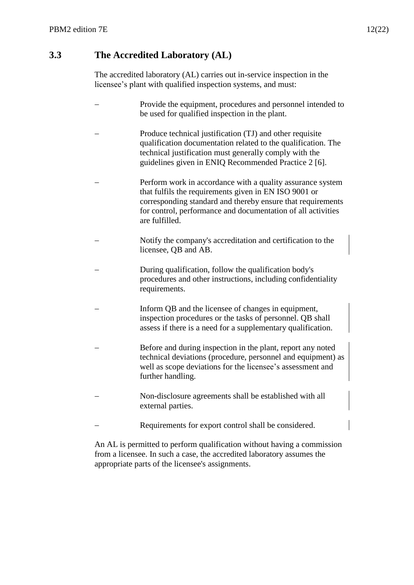# <span id="page-11-0"></span>**3.3 The Accredited Laboratory (AL)**

The accredited laboratory (AL) carries out in-service inspection in the licensee's plant with qualified inspection systems, and must:

| Provide the equipment, procedures and personnel intended to<br>be used for qualified inspection in the plant.                                                                                                                                                        |
|----------------------------------------------------------------------------------------------------------------------------------------------------------------------------------------------------------------------------------------------------------------------|
| Produce technical justification (TJ) and other requisite<br>qualification documentation related to the qualification. The<br>technical justification must generally comply with the<br>guidelines given in ENIQ Recommended Practice 2 [6].                          |
| Perform work in accordance with a quality assurance system<br>that fulfils the requirements given in EN ISO 9001 or<br>corresponding standard and thereby ensure that requirements<br>for control, performance and documentation of all activities<br>are fulfilled. |
| Notify the company's accreditation and certification to the<br>licensee, QB and AB.                                                                                                                                                                                  |
| During qualification, follow the qualification body's<br>procedures and other instructions, including confidentiality<br>requirements.                                                                                                                               |
| Inform QB and the licensee of changes in equipment,<br>inspection procedures or the tasks of personnel. QB shall<br>assess if there is a need for a supplementary qualification.                                                                                     |
| Before and during inspection in the plant, report any noted<br>technical deviations (procedure, personnel and equipment) as<br>well as scope deviations for the licensee's assessment and<br>further handling.                                                       |
| Non-disclosure agreements shall be established with all<br>external parties.                                                                                                                                                                                         |
| Requirements for export control shall be considered.                                                                                                                                                                                                                 |
|                                                                                                                                                                                                                                                                      |

An AL is permitted to perform qualification without having a commission from a licensee. In such a case, the accredited laboratory assumes the appropriate parts of the licensee's assignments.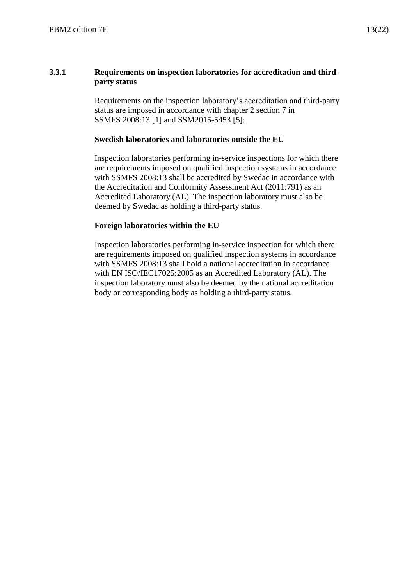#### **3.3.1 Requirements on inspection laboratories for accreditation and thirdparty status**

Requirements on the inspection laboratory's accreditation and third-party status are imposed in accordance with chapter 2 section 7 in SSMFS 2008:13 [1] and SSM2015-5453 [5]:

#### **Swedish laboratories and laboratories outside the EU**

Inspection laboratories performing in-service inspections for which there are requirements imposed on qualified inspection systems in accordance with SSMFS 2008:13 shall be accredited by Swedac in accordance with the Accreditation and Conformity Assessment Act (2011:791) as an Accredited Laboratory (AL). The inspection laboratory must also be deemed by Swedac as holding a third-party status.

#### **Foreign laboratories within the EU**

Inspection laboratories performing in-service inspection for which there are requirements imposed on qualified inspection systems in accordance with SSMFS 2008:13 shall hold a national accreditation in accordance with EN ISO/IEC17025:2005 as an Accredited Laboratory (AL). The inspection laboratory must also be deemed by the national accreditation body or corresponding body as holding a third-party status.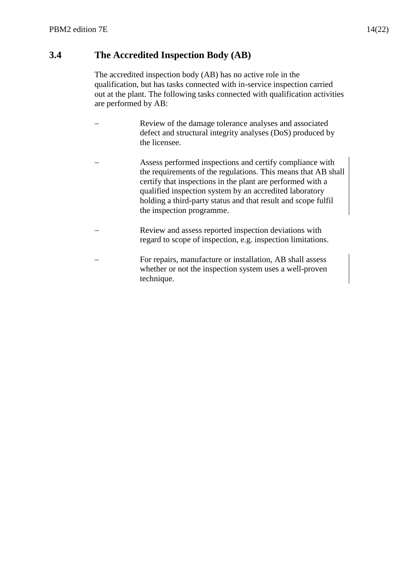## <span id="page-13-0"></span>**3.4 The Accredited Inspection Body (AB)**

The accredited inspection body (AB) has no active role in the qualification, but has tasks connected with in-service inspection carried out at the plant. The following tasks connected with qualification activities are performed by AB:

- Review of the damage tolerance analyses and associated defect and structural integrity analyses (DoS) produced by the licensee.
- Assess performed inspections and certify compliance with the requirements of the regulations. This means that AB shall certify that inspections in the plant are performed with a qualified inspection system by an accredited laboratory holding a third-party status and that result and scope fulfil the inspection programme.
- Review and assess reported inspection deviations with regard to scope of inspection, e.g. inspection limitations.
- For repairs, manufacture or installation, AB shall assess whether or not the inspection system uses a well-proven technique.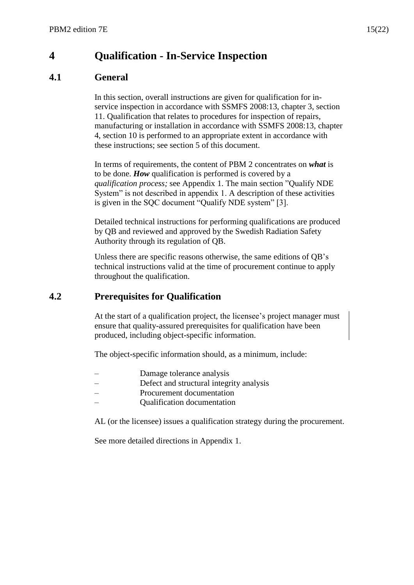# <span id="page-14-0"></span>**4 Qualification - In-Service Inspection**

## <span id="page-14-1"></span>**4.1 General**

In this section, overall instructions are given for qualification for inservice inspection in accordance with SSMFS 2008:13, chapter 3, section 11. Qualification that relates to procedures for inspection of repairs, manufacturing or installation in accordance with SSMFS 2008:13, chapter 4, section 10 is performed to an appropriate extent in accordance with these instructions; see section 5 of this document.

In terms of requirements, the content of PBM 2 concentrates on *what* is to be done. *How* qualification is performed is covered by a *qualification process;* see Appendix 1. The main section "Qualify NDE System" is not described in appendix 1. A description of these activities is given in the SQC document "Qualify NDE system" [3].

Detailed technical instructions for performing qualifications are produced by QB and reviewed and approved by the Swedish Radiation Safety Authority through its regulation of QB.

Unless there are specific reasons otherwise, the same editions of QB's technical instructions valid at the time of procurement continue to apply throughout the qualification.

## <span id="page-14-2"></span>**4.2 Prerequisites for Qualification**

At the start of a qualification project, the licensee's project manager must ensure that quality-assured prerequisites for qualification have been produced, including object-specific information.

The object-specific information should, as a minimum, include:

- Damage tolerance analysis
- Defect and structural integrity analysis
- Procurement documentation
- Qualification documentation

AL (or the licensee) issues a qualification strategy during the procurement.

See more detailed directions in Appendix 1.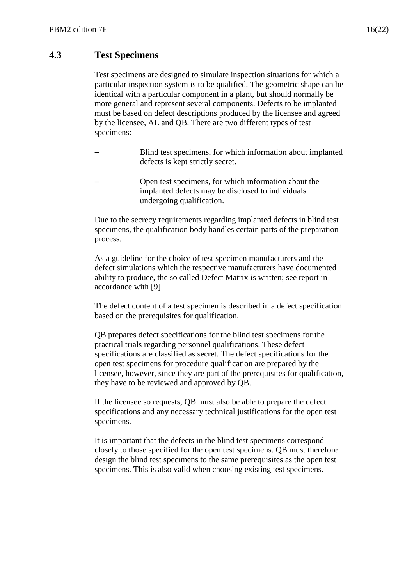## <span id="page-15-0"></span>**4.3 Test Specimens**

Test specimens are designed to simulate inspection situations for which a particular inspection system is to be qualified. The geometric shape can be identical with a particular component in a plant, but should normally be more general and represent several components. Defects to be implanted must be based on defect descriptions produced by the licensee and agreed by the licensee, AL and QB. There are two different types of test specimens:

- Blind test specimens, for which information about implanted defects is kept strictly secret.
- Open test specimens, for which information about the implanted defects may be disclosed to individuals undergoing qualification.

Due to the secrecy requirements regarding implanted defects in blind test specimens, the qualification body handles certain parts of the preparation process.

As a guideline for the choice of test specimen manufacturers and the defect simulations which the respective manufacturers have documented ability to produce, the so called Defect Matrix is written; see report in accordance with [9].

The defect content of a test specimen is described in a defect specification based on the prerequisites for qualification.

QB prepares defect specifications for the blind test specimens for the practical trials regarding personnel qualifications. These defect specifications are classified as secret. The defect specifications for the open test specimens for procedure qualification are prepared by the licensee, however, since they are part of the prerequisites for qualification, they have to be reviewed and approved by QB.

If the licensee so requests, QB must also be able to prepare the defect specifications and any necessary technical justifications for the open test specimens.

It is important that the defects in the blind test specimens correspond closely to those specified for the open test specimens. QB must therefore design the blind test specimens to the same prerequisites as the open test specimens. This is also valid when choosing existing test specimens.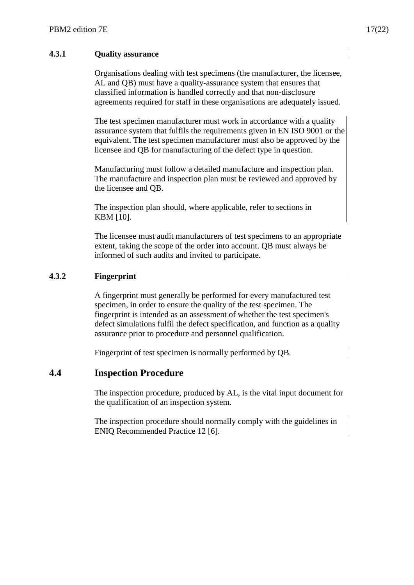#### **4.3.1 Quality assurance**

Organisations dealing with test specimens (the manufacturer, the licensee, AL and QB) must have a quality-assurance system that ensures that classified information is handled correctly and that non-disclosure agreements required for staff in these organisations are adequately issued.

The test specimen manufacturer must work in accordance with a quality assurance system that fulfils the requirements given in EN ISO 9001 or the equivalent. The test specimen manufacturer must also be approved by the licensee and QB for manufacturing of the defect type in question.

Manufacturing must follow a detailed manufacture and inspection plan. The manufacture and inspection plan must be reviewed and approved by the licensee and QB.

The inspection plan should, where applicable, refer to sections in KBM [10].

The licensee must audit manufacturers of test specimens to an appropriate extent, taking the scope of the order into account. QB must always be informed of such audits and invited to participate.

#### **4.3.2 Fingerprint**

A fingerprint must generally be performed for every manufactured test specimen, in order to ensure the quality of the test specimen. The fingerprint is intended as an assessment of whether the test specimen's defect simulations fulfil the defect specification, and function as a quality assurance prior to procedure and personnel qualification.

Fingerprint of test specimen is normally performed by QB.

#### <span id="page-16-0"></span>**4.4 Inspection Procedure**

The inspection procedure, produced by AL, is the vital input document for the qualification of an inspection system.

The inspection procedure should normally comply with the guidelines in ENIQ Recommended Practice 12 [6].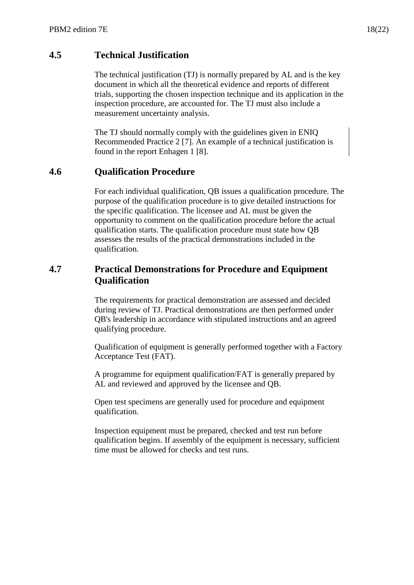## <span id="page-17-0"></span>**4.5 Technical Justification**

The technical justification (TJ) is normally prepared by AL and is the key document in which all the theoretical evidence and reports of different trials, supporting the chosen inspection technique and its application in the inspection procedure, are accounted for. The TJ must also include a measurement uncertainty analysis.

The TJ should normally comply with the guidelines given in ENIQ Recommended Practice 2 [7]. An example of a technical justification is found in the report Enhagen 1 [8].

#### <span id="page-17-1"></span>**4.6 Qualification Procedure**

For each individual qualification, QB issues a qualification procedure. The purpose of the qualification procedure is to give detailed instructions for the specific qualification. The licensee and AL must be given the opportunity to comment on the qualification procedure before the actual qualification starts. The qualification procedure must state how QB assesses the results of the practical demonstrations included in the qualification.

#### <span id="page-17-2"></span>**4.7 Practical Demonstrations for Procedure and Equipment Qualification**

The requirements for practical demonstration are assessed and decided during review of TJ. Practical demonstrations are then performed under QB's leadership in accordance with stipulated instructions and an agreed qualifying procedure.

Qualification of equipment is generally performed together with a Factory Acceptance Test (FAT).

A programme for equipment qualification/FAT is generally prepared by AL and reviewed and approved by the licensee and QB.

Open test specimens are generally used for procedure and equipment qualification.

Inspection equipment must be prepared, checked and test run before qualification begins. If assembly of the equipment is necessary, sufficient time must be allowed for checks and test runs.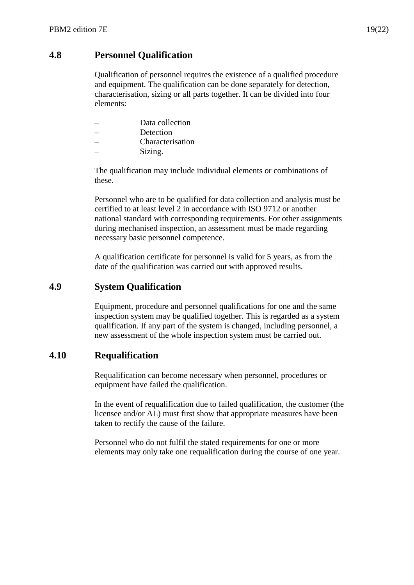#### <span id="page-18-0"></span>**4.8 Personnel Qualification**

Qualification of personnel requires the existence of a qualified procedure and equipment. The qualification can be done separately for detection, characterisation, sizing or all parts together. It can be divided into four elements:

- Data collection
- **Detection**
- Characterisation
- Sizing.

The qualification may include individual elements or combinations of these.

Personnel who are to be qualified for data collection and analysis must be certified to at least level 2 in accordance with ISO 9712 or another national standard with corresponding requirements. For other assignments during mechanised inspection, an assessment must be made regarding necessary basic personnel competence.

A qualification certificate for personnel is valid for 5 years, as from the date of the qualification was carried out with approved results.

#### <span id="page-18-1"></span>**4.9 System Qualification**

Equipment, procedure and personnel qualifications for one and the same inspection system may be qualified together. This is regarded as a system qualification. If any part of the system is changed, including personnel, a new assessment of the whole inspection system must be carried out.

#### <span id="page-18-2"></span>**4.10 Requalification**

Requalification can become necessary when personnel, procedures or equipment have failed the qualification.

In the event of requalification due to failed qualification, the customer (the licensee and/or AL) must first show that appropriate measures have been taken to rectify the cause of the failure.

Personnel who do not fulfil the stated requirements for one or more elements may only take one requalification during the course of one year.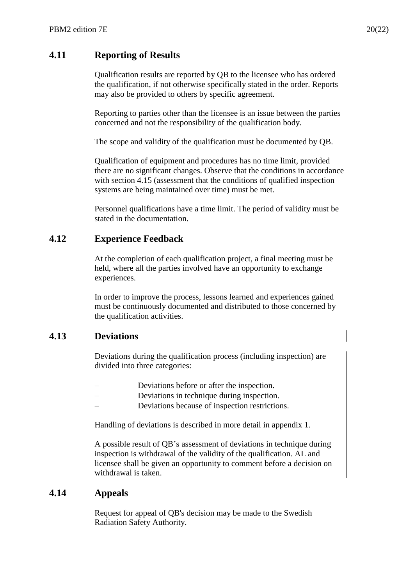## <span id="page-19-0"></span>**4.11 Reporting of Results**

Qualification results are reported by QB to the licensee who has ordered the qualification, if not otherwise specifically stated in the order. Reports may also be provided to others by specific agreement.

Reporting to parties other than the licensee is an issue between the parties concerned and not the responsibility of the qualification body.

The scope and validity of the qualification must be documented by QB.

Qualification of equipment and procedures has no time limit, provided there are no significant changes. Observe that the conditions in accordance with section 4.15 (assessment that the conditions of qualified inspection systems are being maintained over time) must be met.

Personnel qualifications have a time limit. The period of validity must be stated in the documentation.

## <span id="page-19-1"></span>**4.12 Experience Feedback**

At the completion of each qualification project, a final meeting must be held, where all the parties involved have an opportunity to exchange experiences.

In order to improve the process, lessons learned and experiences gained must be continuously documented and distributed to those concerned by the qualification activities.

#### <span id="page-19-2"></span>**4.13 Deviations**

Deviations during the qualification process (including inspection) are divided into three categories:

- Deviations before or after the inspection.
- Deviations in technique during inspection.
- Deviations because of inspection restrictions.

Handling of deviations is described in more detail in appendix 1.

A possible result of QB's assessment of deviations in technique during inspection is withdrawal of the validity of the qualification. AL and licensee shall be given an opportunity to comment before a decision on withdrawal is taken.

#### <span id="page-19-3"></span>**4.14 Appeals**

Request for appeal of QB's decision may be made to the Swedish Radiation Safety Authority.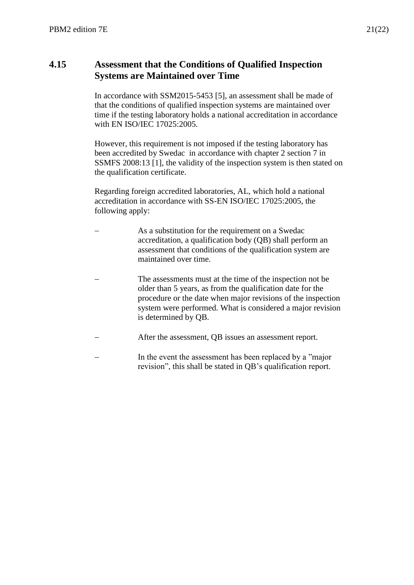#### <span id="page-20-0"></span>**4.15 Assessment that the Conditions of Qualified Inspection Systems are Maintained over Time**

In accordance with SSM2015-5453 [5], an assessment shall be made of that the conditions of qualified inspection systems are maintained over time if the testing laboratory holds a national accreditation in accordance with EN ISO/IEC 17025:2005.

However, this requirement is not imposed if the testing laboratory has been accredited by Swedac in accordance with chapter 2 section 7 in SSMFS 2008:13 [1], the validity of the inspection system is then stated on the qualification certificate.

Regarding foreign accredited laboratories, AL, which hold a national accreditation in accordance with SS-EN ISO/IEC 17025:2005, the following apply:

- As a substitution for the requirement on a Swedac accreditation, a qualification body (QB) shall perform an assessment that conditions of the qualification system are maintained over time.
- The assessments must at the time of the inspection not be older than 5 years, as from the qualification date for the procedure or the date when major revisions of the inspection system were performed. What is considered a major revision is determined by QB.
- After the assessment, QB issues an assessment report.
- In the event the assessment has been replaced by a "major revision", this shall be stated in QB's qualification report.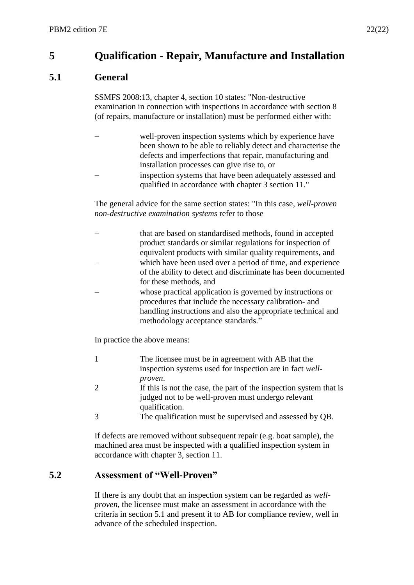# <span id="page-21-0"></span>**5 Qualification - Repair, Manufacture and Installation**

## <span id="page-21-1"></span>**5.1 General**

SSMFS 2008:13, chapter 4, section 10 states: "Non-destructive examination in connection with inspections in accordance with section 8 (of repairs, manufacture or installation) must be performed either with:

- well-proven inspection systems which by experience have been shown to be able to reliably detect and characterise the defects and imperfections that repair, manufacturing and installation processes can give rise to, or
- inspection systems that have been adequately assessed and qualified in accordance with chapter 3 section 11."

The general advice for the same section states: "In this case, *well-proven non-destructive examination systems* refer to those

- that are based on standardised methods, found in accepted product standards or similar regulations for inspection of equivalent products with similar quality requirements, and which have been used over a period of time, and experience of the ability to detect and discriminate has been documented for these methods, and
- whose practical application is governed by instructions or procedures that include the necessary calibration- and handling instructions and also the appropriate technical and methodology acceptance standards."

In practice the above means:

- 1 The licensee must be in agreement with AB that the inspection systems used for inspection are in fact *wellproven*. 2 If this is not the case, the part of the inspection system that is
- judged not to be well-proven must undergo relevant qualification.
- 3 The qualification must be supervised and assessed by QB.

If defects are removed without subsequent repair (e.g. boat sample), the machined area must be inspected with a qualified inspection system in accordance with chapter 3, section 11.

## <span id="page-21-2"></span>**5.2 Assessment of "Well-Proven"**

If there is any doubt that an inspection system can be regarded as *wellproven*, the licensee must make an assessment in accordance with the criteria in section 5.1 and present it to AB for compliance review, well in advance of the scheduled inspection.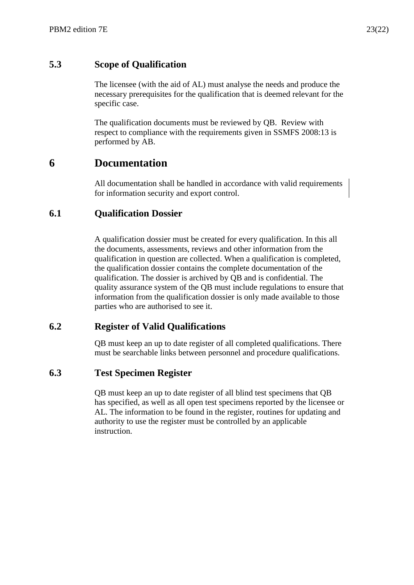#### <span id="page-22-0"></span>**5.3 Scope of Qualification**

The licensee (with the aid of AL) must analyse the needs and produce the necessary prerequisites for the qualification that is deemed relevant for the specific case.

The qualification documents must be reviewed by QB. Review with respect to compliance with the requirements given in SSMFS 2008:13 is performed by AB.

# <span id="page-22-1"></span>**6 Documentation**

All documentation shall be handled in accordance with valid requirements for information security and export control.

#### <span id="page-22-2"></span>**6.1 Qualification Dossier**

A qualification dossier must be created for every qualification. In this all the documents, assessments, reviews and other information from the qualification in question are collected. When a qualification is completed, the qualification dossier contains the complete documentation of the qualification. The dossier is archived by QB and is confidential. The quality assurance system of the QB must include regulations to ensure that information from the qualification dossier is only made available to those parties who are authorised to see it.

#### <span id="page-22-3"></span>**6.2 Register of Valid Qualifications**

QB must keep an up to date register of all completed qualifications. There must be searchable links between personnel and procedure qualifications.

#### <span id="page-22-4"></span>**6.3 Test Specimen Register**

QB must keep an up to date register of all blind test specimens that QB has specified, as well as all open test specimens reported by the licensee or AL. The information to be found in the register, routines for updating and authority to use the register must be controlled by an applicable instruction.